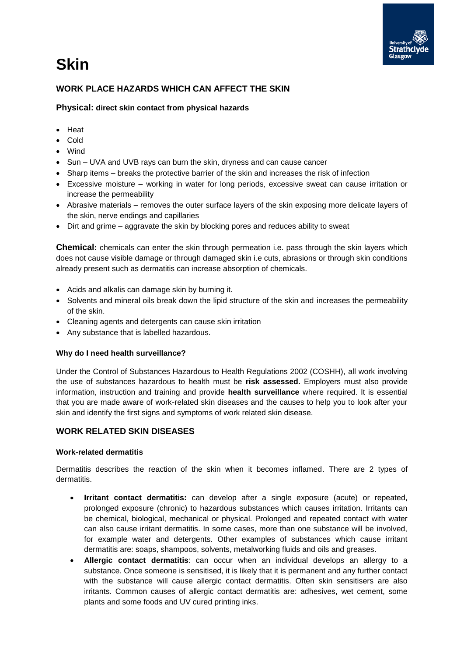# **Skin**



# **WORK PLACE HAZARDS WHICH CAN AFFECT THE SKIN**

**Physical: direct skin contact from physical hazards**

- Heat
- Cold
- Wind
- Sun UVA and UVB rays can burn the skin, dryness and can cause cancer
- Sharp items breaks the protective barrier of the skin and increases the risk of infection
- Excessive moisture working in water for long periods, excessive sweat can cause irritation or increase the permeability
- Abrasive materials removes the outer surface layers of the skin exposing more delicate layers of the skin, nerve endings and capillaries
- Dirt and grime aggravate the skin by blocking pores and reduces ability to sweat

**Chemical:** chemicals can enter the skin through permeation i.e. pass through the skin layers which does not cause visible damage or through damaged skin i.e cuts, abrasions or through skin conditions already present such as dermatitis can increase absorption of chemicals.

- Acids and alkalis can damage skin by burning it.
- Solvents and mineral oils break down the lipid structure of the skin and increases the permeability of the skin.
- Cleaning agents and detergents can cause skin irritation
- Any substance that is labelled hazardous.

## **Why do I need health surveillance?**

Under the Control of Substances Hazardous to Health Regulations 2002 (COSHH), all work involving the use of substances hazardous to health must be **risk assessed.** Employers must also provide information, instruction and training and provide **health surveillance** where required. It is essential that you are made aware of work-related skin diseases and the causes to help you to look after your skin and identify the first signs and symptoms of work related skin disease.

## **WORK RELATED SKIN DISEASES**

## **Work-related dermatitis**

Dermatitis describes the reaction of the skin when it becomes inflamed. There are 2 types of dermatitis.

- **Irritant contact dermatitis:** can develop after a single exposure (acute) or repeated, prolonged exposure (chronic) to hazardous substances which causes irritation. Irritants can be chemical, biological, mechanical or physical. Prolonged and repeated contact with water can also cause irritant dermatitis. In some cases, more than one substance will be involved, for example water and detergents. Other examples of substances which cause irritant dermatitis are: soaps, shampoos, solvents, metalworking fluids and oils and greases.
- **Allergic contact dermatitis**: can occur when an individual develops an allergy to a substance. Once someone is sensitised, it is likely that it is permanent and any further contact with the substance will cause allergic contact dermatitis. Often skin sensitisers are also irritants. Common causes of allergic contact dermatitis are: adhesives, wet cement, some plants and some foods and UV cured printing inks.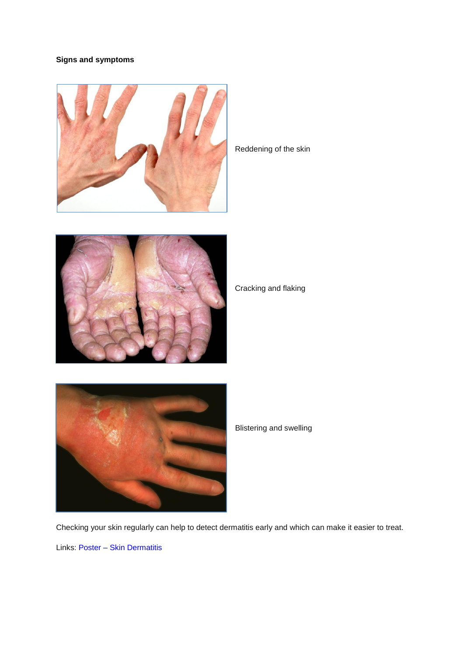# **Signs and symptoms**



Reddening of the skin



Cracking and flaking



Blistering and swelling

Checking your skin regularly can help to detect dermatitis early and which can make it easier to treat.

Links: [Poster](http://www.hse.gov.uk/skin/posters/skindermatitis.pdf) – Skin Dermatitis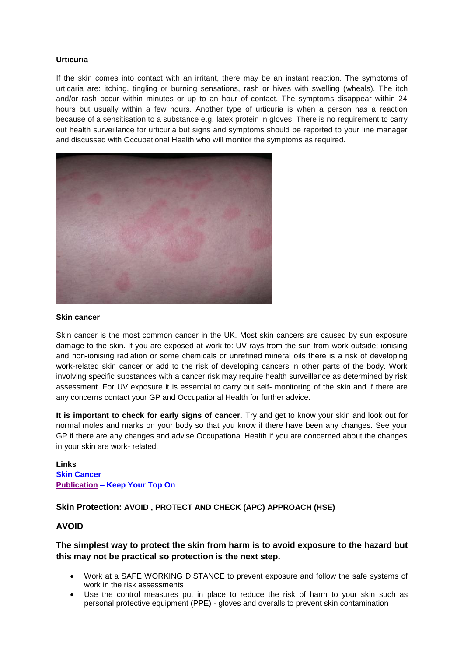### **Urticuria**

If the skin comes into contact with an irritant, there may be an instant reaction. The symptoms of urticaria are: itching, tingling or burning sensations, rash or hives with swelling (wheals). The itch and/or rash occur within minutes or up to an hour of contact. The symptoms disappear within 24 hours but usually within a few hours. Another type of urticuria is when a person has a reaction because of a sensitisation to a substance e.g. latex protein in gloves. There is no requirement to carry out health surveillance for urticuria but signs and symptoms should be reported to your line manager and discussed with Occupational Health who will monitor the symptoms as required.



#### **Skin cancer**

Skin cancer is the most common cancer in the UK. Most skin cancers are caused by sun exposure damage to the skin. If you are exposed at work to: UV rays from the sun from work outside; ionising and non-ionising radiation or some chemicals or unrefined mineral oils there is a risk of developing work-related skin cancer or add to the risk of developing cancers in other parts of the body. Work involving specific substances with a cancer risk may require health surveillance as determined by risk assessment. For UV exposure it is essential to carry out self- monitoring of the skin and if there are any concerns contact your GP and Occupational Health for further advice.

**It is important to check for early signs of cancer.** Try and get to know your skin and look out for normal moles and marks on your body so that you know if there have been any changes. See your GP if there are any changes and advise Occupational Health if you are concerned about the changes in your skin are work- related.

**Links [Skin](http://www.hse.gov.uk/skin/employ/cancer.htm) Cancer [Publication](http://www.hse.gov.uk/pubns/indg147.pdf) – Keep Your Top On**

## **Skin Protection: AVOID , PROTECT AND CHECK (APC) APPROACH (HSE)**

# **AVOID**

# **The simplest way to protect the skin from harm is to avoid exposure to the hazard but this may not be practical so protection is the next step.**

- Work at a SAFE WORKING DISTANCE to prevent exposure and follow the safe systems of work in the risk assessments
- Use the control measures put in place to reduce the risk of harm to your skin such as personal protective equipment (PPE) - gloves and overalls to prevent skin contamination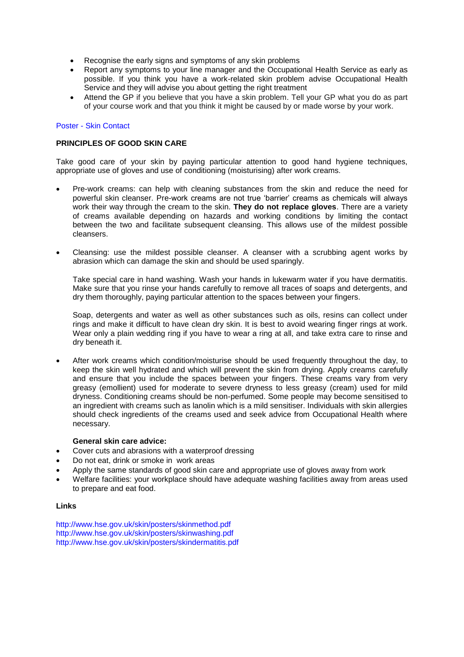- Recognise the early signs and symptoms of any skin problems
- Report any symptoms to your line manager and the Occupational Health Service as early as possible. If you think you have a work-related skin problem advise Occupational Health Service and they will advise you about getting the right treatment
- Attend the GP if you believe that you have a skin problem. Tell your GP what you do as part of your course work and that you think it might be caused by or made worse by your work.

#### [Poster -](http://www.hse.gov.uk/skin/posters/contact.pdf) Skin Contact

#### **PRINCIPLES OF GOOD SKIN CARE**

Take good care of your skin by paying particular attention to good hand hygiene techniques, appropriate use of gloves and use of conditioning (moisturising) after work creams.

- Pre-work creams: can help with cleaning substances from the skin and reduce the need for powerful skin cleanser. Pre-work creams are not true 'barrier' creams as chemicals will always work their way through the cream to the skin. **They do not replace gloves**. There are a variety of creams available depending on hazards and working conditions by limiting the contact between the two and facilitate subsequent cleansing. This allows use of the mildest possible cleansers.
- Cleansing: use the mildest possible cleanser. A cleanser with a scrubbing agent works by abrasion which can damage the skin and should be used sparingly.

Take special care in hand washing. Wash your hands in lukewarm water if you have dermatitis. Make sure that you rinse your hands carefully to remove all traces of soaps and detergents, and dry them thoroughly, paying particular attention to the spaces between your fingers.

Soap, detergents and water as well as other substances such as oils, resins can collect under rings and make it difficult to have clean dry skin. It is best to avoid wearing finger rings at work. Wear only a plain wedding ring if you have to wear a ring at all, and take extra care to rinse and dry beneath it.

 After work creams which condition/moisturise should be used frequently throughout the day, to keep the skin well hydrated and which will prevent the skin from drying. Apply creams carefully and ensure that you include the spaces between your fingers. These creams vary from very greasy (emollient) used for moderate to severe dryness to less greasy (cream) used for mild dryness. Conditioning creams should be non-perfumed. Some people may become sensitised to an ingredient with creams such as lanolin which is a mild sensitiser. Individuals with skin allergies should check ingredients of the creams used and seek advice from Occupational Health where necessary.

#### **General skin care advice:**

- Cover cuts and abrasions with a waterproof dressing
- Do not eat, drink or smoke in work areas
- Apply the same standards of good skin care and appropriate use of gloves away from work
- Welfare facilities: your workplace should have adequate washing facilities away from areas used to prepare and eat food.

#### **Links**

<http://www.hse.gov.uk/skin/posters/skinmethod.pdf> <http://www.hse.gov.uk/skin/posters/skinwashing.pdf> <http://www.hse.gov.uk/skin/posters/skindermatitis.pdf>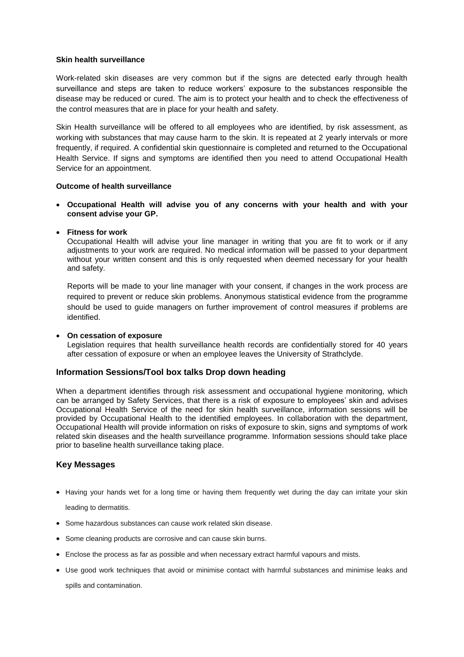#### **Skin health surveillance**

Work-related skin diseases are very common but if the signs are detected early through health surveillance and steps are taken to reduce workers' exposure to the substances responsible the disease may be reduced or cured. The aim is to protect your health and to check the effectiveness of the control measures that are in place for your health and safety.

Skin Health surveillance will be offered to all employees who are identified, by risk assessment, as working with substances that may cause harm to the skin. It is repeated at 2 yearly intervals or more frequently, if required. A confidential skin questionnaire is completed and returned to the Occupational Health Service. If signs and symptoms are identified then you need to attend Occupational Health Service for an appointment.

#### **Outcome of health surveillance**

 **Occupational Health will advise you of any concerns with your health and with your consent advise your GP.**

#### **Fitness for work**

Occupational Health will advise your line manager in writing that you are fit to work or if any adjustments to your work are required. No medical information will be passed to your department without your written consent and this is only requested when deemed necessary for your health and safety.

Reports will be made to your line manager with your consent, if changes in the work process are required to prevent or reduce skin problems. Anonymous statistical evidence from the programme should be used to guide managers on further improvement of control measures if problems are identified.

#### **On cessation of exposure**

Legislation requires that health surveillance health records are confidentially stored for 40 years after cessation of exposure or when an employee leaves the University of Strathclyde.

#### **Information Sessions/Tool box talks Drop down heading**

When a department identifies through risk assessment and occupational hygiene monitoring, which can be arranged by Safety Services, that there is a risk of exposure to employees' skin and advises Occupational Health Service of the need for skin health surveillance, information sessions will be provided by Occupational Health to the identified employees. In collaboration with the department, Occupational Health will provide information on risks of exposure to skin, signs and symptoms of work related skin diseases and the health surveillance programme. Information sessions should take place prior to baseline health surveillance taking place.

## **Key Messages**

- Having your hands wet for a long time or having them frequently wet during the day can irritate your skin leading to dermatitis.
- Some hazardous substances can cause work related skin disease.
- Some cleaning products are corrosive and can cause skin burns.
- Enclose the process as far as possible and when necessary extract harmful vapours and mists.
- Use good work techniques that avoid or minimise contact with harmful substances and minimise leaks and spills and contamination.